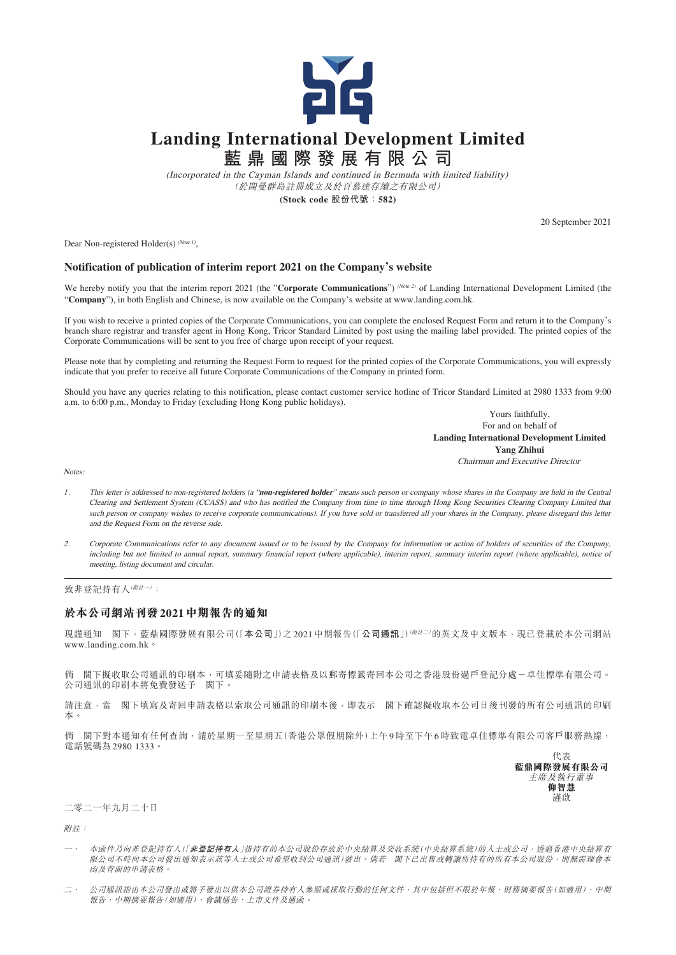

## **Landing International Development Limited**

**藍鼎國際發展有限公司**

(Incorporated in the Cayman Islands and continued in Bermuda with limited liability) (於開曼群島註冊成立及於百慕達存續之有限公司)

**(Stock code 股份代號:582)**

20 September 2021

Dear Non-registered Holder(s)  $^{(Note 1)}$ ,

## **Notification of publication of interim report 2021 on the Company's website**

We hereby notify you that the interim report 2021 (the "Corporate Communications") (Note 2) of Landing International Development Limited (the "**Company**"), in both English and Chinese, is now available on the Company's website at www.landing.com.hk.

If you wish to receive a printed copies of the Corporate Communications, you can complete the enclosed Request Form and return it to the Company's branch share registrar and transfer agent in Hong Kong, Tricor Standard Limited by post using the mailing label provided. The printed copies of the Corporate Communications will be sent to you free of charge upon receipt of your request.

Please note that by completing and returning the Request Form to request for the printed copies of the Corporate Communications, you will expressly indicate that you prefer to receive all future Corporate Communications of the Company in printed form.

Should you have any queries relating to this notification, please contact customer service hotline of Tricor Standard Limited at 2980 1333 from 9:00 a.m. to 6:00 p.m., Monday to Friday (excluding Hong Kong public holidays).

> Yours faithfully, For and on behalf of **Landing International Development Limited Yang Zhihui** Chairman and Executive Director

Notes:

- <sup>1</sup>. This letter is addressed to non-registered holders (a "**non-registered holder**" means such person or company whose shares in the Company are held in the Central Clearing and Settlement System (CCASS) and who has notified the Company from time to time through Hong Kong Securities Clearing Company Limited that such person or company wishes to receive corporate communications). If you have sold or transferred all your shares in the Company, please disregard this letter and the Request Form on the reverse side.
- <sup>2</sup>. Corporate Communications refer to any document issued or to be issued by the Company for information or action of holders of securities of the Company, including but not limited to annual report, summary financial report (where applicable), interim report, summary interim report (where applicable), notice of meeting, listing document and circular.

致非登記持有人(附註一):

## **於本公司網站刊發2021中期報告的通知**

現謹通知 閣下,藍鼎國際發展有限公司(「本公司」)之2021中期報告(「公司通訊」)<sup>( 附註二)</sup>的英文及中文版本,現已登載於本公司網站 www.landing.com.hk。

倘 閣下擬收取公司通訊的印刷本,可填妥隨附之申請表格及以郵寄標籤寄回本公司之香港股份過戶登記分處一卓佳標準有限公司。 公司通訊的印刷本將免費發送予 閣下。

請注意,當 閣下填寫及寄回申請表格以索取公司通訊的印刷本後,即表示 閣下確認擬收取本公司日後刊發的所有公司通訊的印刷 本。

倘 閣下對本通知有任何查詢,請於星期一至星期五(香港公眾假期除外)上午9時至下午6時致電卓佳標準有限公司客戶服務熱線, 電話號碼為2980 1333。



二零二一年九月二十日

附註:

- 一、 本函件乃向非登記持有人(「**非登記持有人**」指持有的本公司股份存放於中央結算及交收系統(中央結算系統)的人士或公司,透過香港中央結算有 限公司不時向本公司發出通知表示該等人士或公司希望收到公司通訊)發出。倘若 閣下已出售或轉讓所持有的所有本公司股份,則無需理會本 函及背面的申請表格。
- 二、 公司通訊指由本公司發出或將予發出以供本公司證券持有人參照或採取行動的任何文件,其中包括但不限於年報、財務摘要報告(如適用)、中期 報告、中期摘要報告(如適用)、會議通告、上市文件及通函。